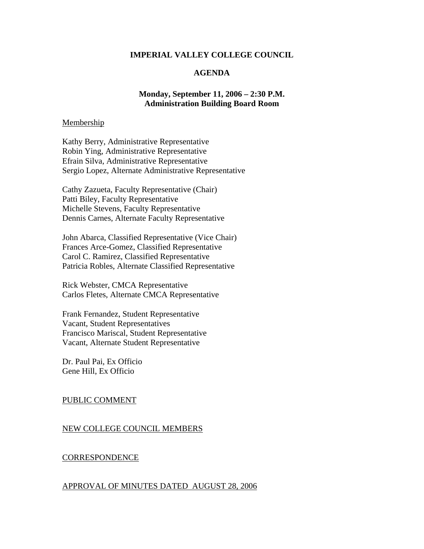### **IMPERIAL VALLEY COLLEGE COUNCIL**

# **AGENDA**

## **Monday, September 11, 2006 – 2:30 P.M. Administration Building Board Room**

### Membership

Kathy Berry, Administrative Representative Robin Ying, Administrative Representative Efrain Silva, Administrative Representative Sergio Lopez, Alternate Administrative Representative

Cathy Zazueta, Faculty Representative (Chair) Patti Biley, Faculty Representative Michelle Stevens, Faculty Representative Dennis Carnes, Alternate Faculty Representative

John Abarca, Classified Representative (Vice Chair) Frances Arce-Gomez, Classified Representative Carol C. Ramirez, Classified Representative Patricia Robles, Alternate Classified Representative

Rick Webster, CMCA Representative Carlos Fletes, Alternate CMCA Representative

Frank Fernandez, Student Representative Vacant, Student Representatives Francisco Mariscal, Student Representative Vacant, Alternate Student Representative

Dr. Paul Pai, Ex Officio Gene Hill, Ex Officio

## PUBLIC COMMENT

### NEW COLLEGE COUNCIL MEMBERS

#### **CORRESPONDENCE**

#### APPROVAL OF MINUTES DATED AUGUST 28, 2006